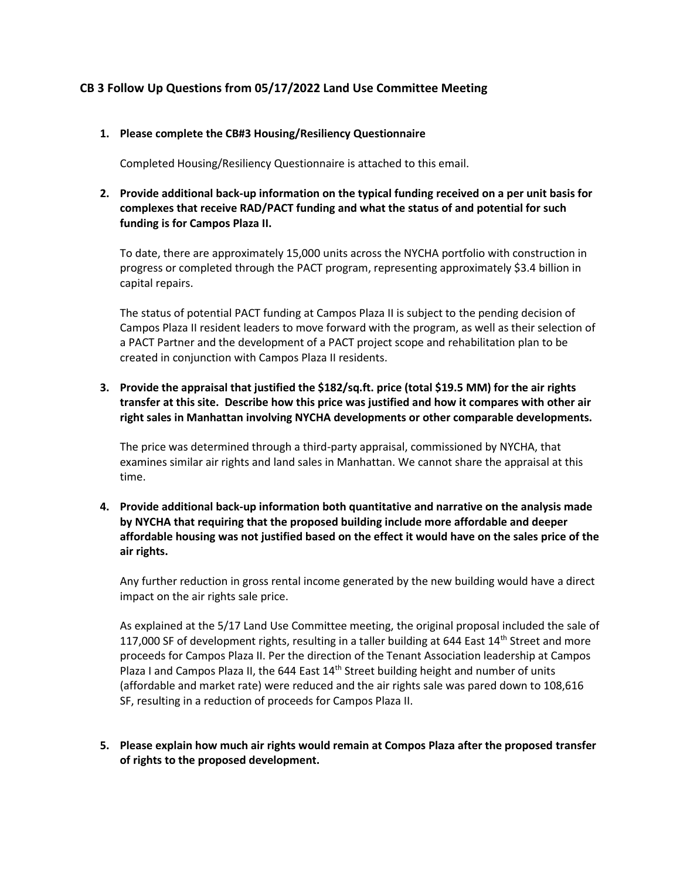# **CB 3 Follow Up Questions from 05/17/2022 Land Use Committee Meeting**

#### **1. Please complete the CB#3 Housing/Resiliency Questionnaire**

Completed Housing/Resiliency Questionnaire is attached to this email.

## **2. Provide additional back-up information on the typical funding received on a per unit basis for complexes that receive RAD/PACT funding and what the status of and potential for such funding is for Campos Plaza II.**

To date, there are approximately 15,000 units across the NYCHA portfolio with construction in progress or completed through the PACT program, representing approximately \$3.4 billion in capital repairs.

The status of potential PACT funding at Campos Plaza II is subject to the pending decision of Campos Plaza II resident leaders to move forward with the program, as well as their selection of a PACT Partner and the development of a PACT project scope and rehabilitation plan to be created in conjunction with Campos Plaza II residents.

## **3. Provide the appraisal that justified the \$182/sq.ft. price (total \$19.5 MM) for the air rights transfer at this site. Describe how this price was justified and how it compares with other air right sales in Manhattan involving NYCHA developments or other comparable developments.**

The price was determined through a third-party appraisal, commissioned by NYCHA, that examines similar air rights and land sales in Manhattan. We cannot share the appraisal at this time.

**4. Provide additional back-up information both quantitative and narrative on the analysis made by NYCHA that requiring that the proposed building include more affordable and deeper affordable housing was not justified based on the effect it would have on the sales price of the air rights.** 

Any further reduction in gross rental income generated by the new building would have a direct impact on the air rights sale price.

As explained at the 5/17 Land Use Committee meeting, the original proposal included the sale of 117,000 SF of development rights, resulting in a taller building at 644 East 14<sup>th</sup> Street and more proceeds for Campos Plaza II. Per the direction of the Tenant Association leadership at Campos Plaza I and Campos Plaza II, the 644 East  $14<sup>th</sup>$  Street building height and number of units (affordable and market rate) were reduced and the air rights sale was pared down to 108,616 SF, resulting in a reduction of proceeds for Campos Plaza II.

**5. Please explain how much air rights would remain at Compos Plaza after the proposed transfer of rights to the proposed development.**